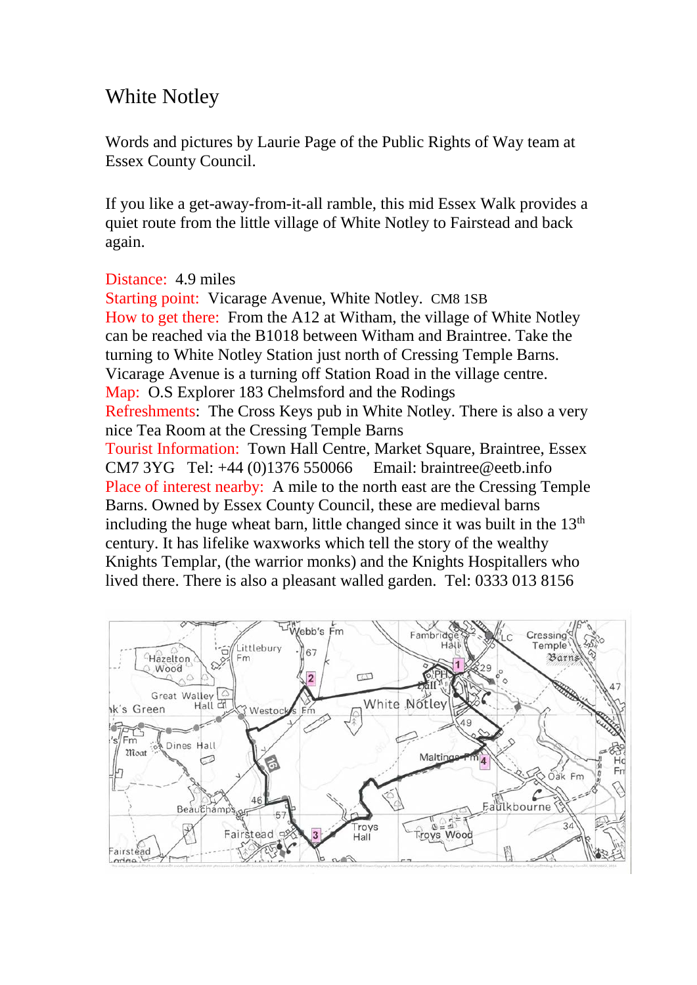## White Notley

Words and pictures by Laurie Page of the Public Rights of Way team at Essex County Council.

If you like a get-away-from-it-all ramble, this mid Essex Walk provides a quiet route from the little village of White Notley to Fairstead and back again.

## Distance: 4.9 miles

Starting point: Vicarage Avenue, White Notley. CM8 1SB How to get there: From the A12 at Witham, the village of White Notley can be reached via the B1018 between Witham and Braintree. Take the turning to White Notley Station just north of Cressing Temple Barns. Vicarage Avenue is a turning off Station Road in the village centre. Map: O.S Explorer 183 Chelmsford and the Rodings Refreshments: The Cross Keys pub in White Notley. There is also a very nice Tea Room at the Cressing Temple Barns Tourist Information: Town Hall Centre, Market Square, Braintree, Essex CM7 3YG Tel: +44 (0)1376 550066 Email: braintree@eetb.info Place of interest nearby: A mile to the north east are the Cressing Temple Barns. Owned by Essex County Council, these are medieval barns including the huge wheat barn, little changed since it was built in the  $13<sup>th</sup>$ century. It has lifelike waxworks which tell the story of the wealthy Knights Templar, (the warrior monks) and the Knights Hospitallers who lived there. There is also a pleasant walled garden. Tel: 0333 013 8156

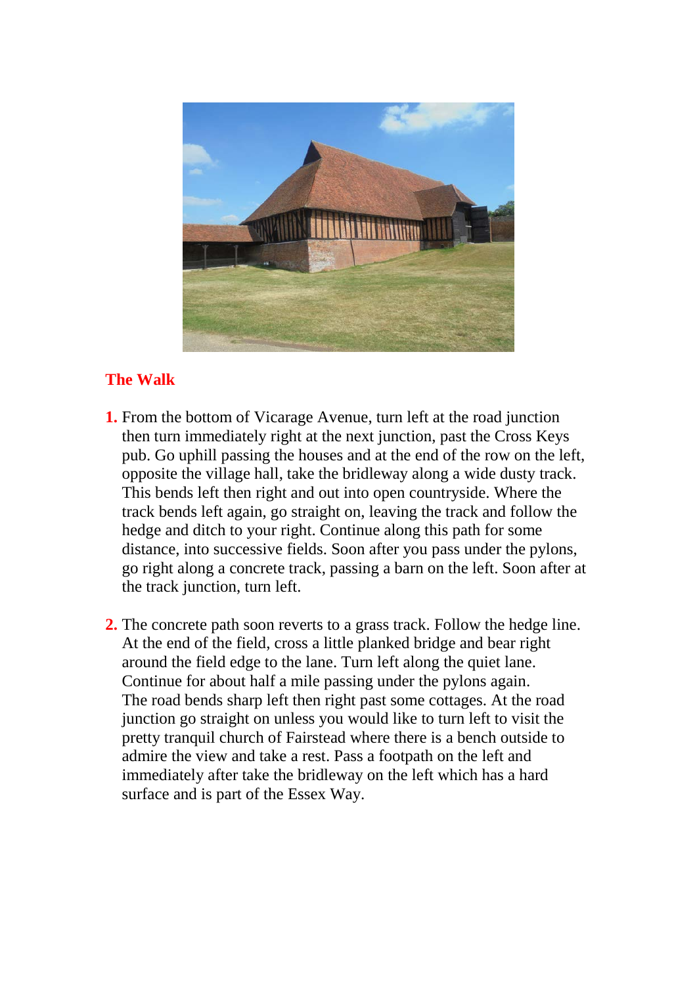

## **The Walk**

- **1.** From the bottom of Vicarage Avenue, turn left at the road junction then turn immediately right at the next junction, past the Cross Keys pub. Go uphill passing the houses and at the end of the row on the left, opposite the village hall, take the bridleway along a wide dusty track. This bends left then right and out into open countryside. Where the track bends left again, go straight on, leaving the track and follow the hedge and ditch to your right. Continue along this path for some distance, into successive fields. Soon after you pass under the pylons, go right along a concrete track, passing a barn on the left. Soon after at the track junction, turn left.
- **2.** The concrete path soon reverts to a grass track. Follow the hedge line. At the end of the field, cross a little planked bridge and bear right around the field edge to the lane. Turn left along the quiet lane. Continue for about half a mile passing under the pylons again. The road bends sharp left then right past some cottages. At the road junction go straight on unless you would like to turn left to visit the pretty tranquil church of Fairstead where there is a bench outside to admire the view and take a rest. Pass a footpath on the left and immediately after take the bridleway on the left which has a hard surface and is part of the Essex Way.